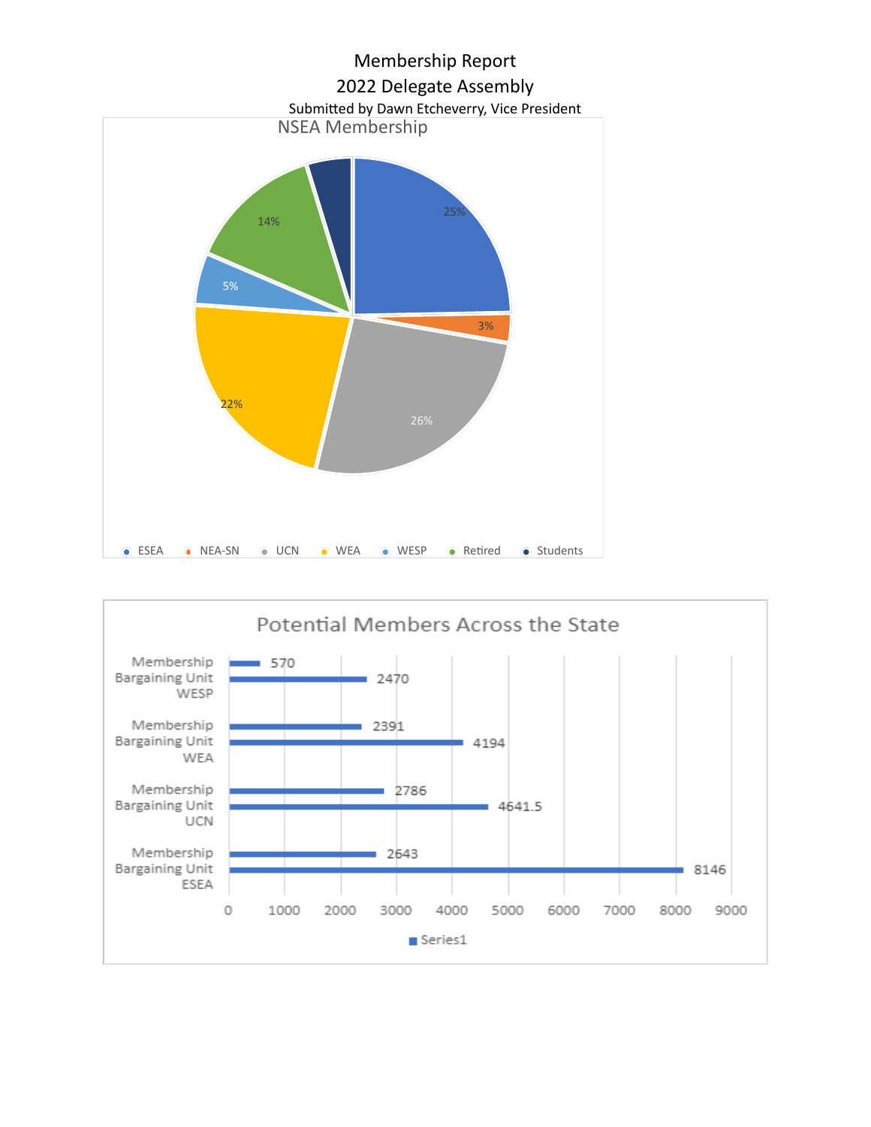

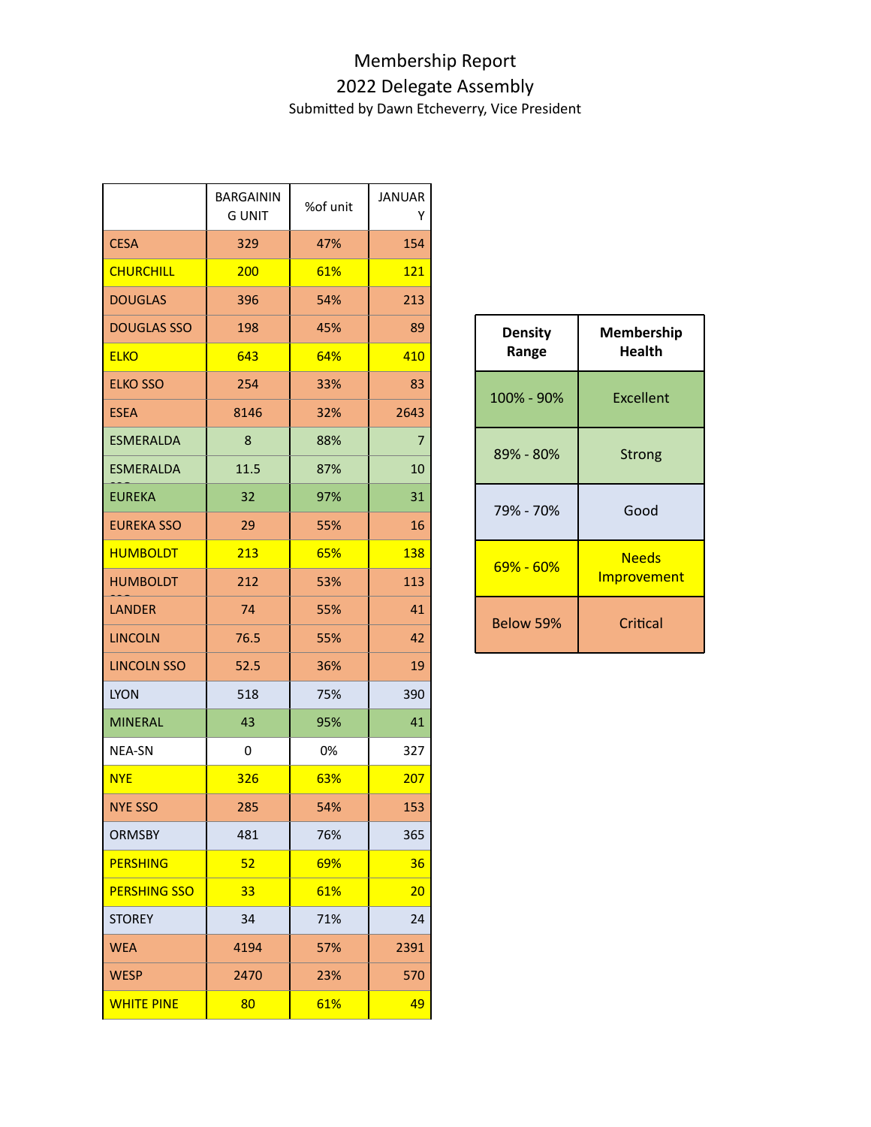## Membership Report 2022 Delegate Assembly

Submitted by Dawn Etcheverry, Vice President

|                     | <b>BARGAININ</b> | %of unit | <b>JANUAR</b>  |                         |                             |
|---------------------|------------------|----------|----------------|-------------------------|-----------------------------|
|                     | <b>GUNIT</b>     |          | Y              |                         |                             |
| <b>CESA</b>         | 329              | 47%      | 154            |                         |                             |
| <b>CHURCHILL</b>    | 200              | 61%      | <b>121</b>     |                         |                             |
| <b>DOUGLAS</b>      | 396              | 54%      | 213            |                         |                             |
| <b>DOUGLAS SSO</b>  | 198              | 45%      | 89             | <b>Density</b><br>Range | Membership<br><b>Health</b> |
| <b>ELKO</b>         | 643              | 64%      | 410            |                         |                             |
| <b>ELKO SSO</b>     | 254              | 33%      | 83             | 100% - 90%              | <b>Excellent</b>            |
| <b>ESEA</b>         | 8146             | 32%      | 2643           |                         |                             |
| <b>ESMERALDA</b>    | 8                | 88%      | $\overline{7}$ | 89% - 80%               | <b>Strong</b>               |
| <b>ESMERALDA</b>    | 11.5             | 87%      | 10             |                         |                             |
| <b>EUREKA</b>       | 32               | 97%      | 31             | 79% - 70%               | Good                        |
| <b>EUREKA SSO</b>   | 29               | 55%      | 16             |                         |                             |
| <b>HUMBOLDT</b>     | 213              | 65%      | <b>138</b>     | 69% - 60%               | <b>Needs</b><br>Improvement |
| <b>HUMBOLDT</b>     | 212              | 53%      | 113            |                         |                             |
| <b>LANDER</b>       | 74               | 55%      | 41             | Below 59%               | Critical                    |
| <b>LINCOLN</b>      | 76.5             | 55%      | 42             |                         |                             |
| <b>LINCOLN SSO</b>  | 52.5             | 36%      | 19             |                         |                             |
| <b>LYON</b>         | 518              | 75%      | 390            |                         |                             |
| <b>MINERAL</b>      | 43               | 95%      | 41             |                         |                             |
| NEA-SN              | $\pmb{0}$        | 0%       | 327            |                         |                             |
| <b>NYE</b>          | 326              | 63%      | 207            |                         |                             |
| <b>NYE SSO</b>      | 285              | 54%      | 153            |                         |                             |
| <b>ORMSBY</b>       | 481              | 76%      | 365            |                         |                             |
| <b>PERSHING</b>     | 52               | 69%      | 36             |                         |                             |
| <b>PERSHING SSO</b> | 33               | 61%      | 20             |                         |                             |
| <b>STOREY</b>       | 34               | 71%      | 24             |                         |                             |
| <b>WEA</b>          | 4194             | 57%      | 2391           |                         |                             |
| <b>WESP</b>         | 2470             | 23%      | 570            |                         |                             |
| <b>WHITE PINE</b>   | 80               | 61%      | 49             |                         |                             |

| <b>Density</b><br>Range | <b>Membership</b><br><b>Health</b> |
|-------------------------|------------------------------------|
| 100% - 90%              | Excellent                          |
| 89% - 80%               | Strong                             |
| 79% - 70%               | Good                               |
| 69% - 60%               | <b>Needs</b><br><b>Improvement</b> |
| Below 59%               | Critical                           |